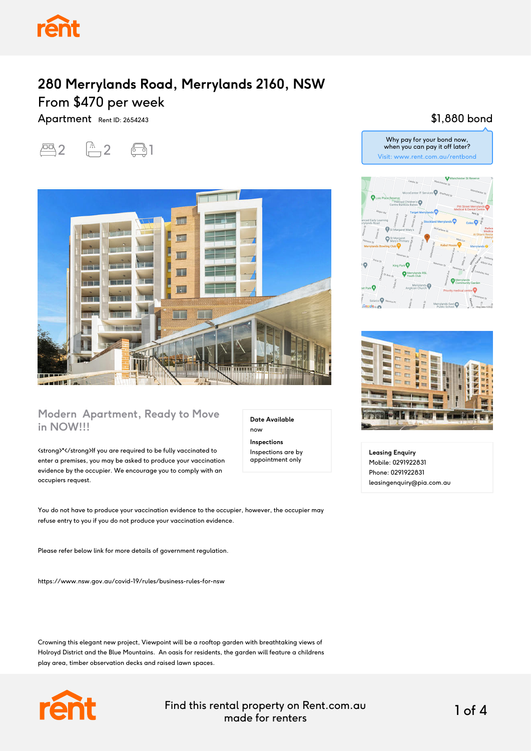

Apartment Rent ID: 2654243





#### **Modern Apartment, Ready to Move in NOW!!!**

<strong>\*</strong>If you are required to be fully vaccinated to enter a premises, you may be asked to produce your vaccination evidence by the occupier. We encourage you to comply with an occupiers request.

You do not have to produce your vaccination evidence to the occupier, however, the occupier may refuse entry to you if you do not produce your vaccination evidence.

Please refer below link for more details of government regulation.

https://www.nsw.gov.au/covid-19/rules/business-rules-for-nsw

Crowning this elegant new project, Viewpoint will be a rooftop garden with breathtaking views of Holroyd District and the Blue Mountains. An oasis for residents, the garden will feature a childrens play area, timber observation decks and raised lawn spaces.



Find this rental property on Rent.com.au made for renters 1 of 4

**Date Available**

now **Inspections** Inspections are by appointment only

## \$1,880 bond





**Leasing Enquiry** Mobile: 0291922831 Phone: 0291922831 leasingenquiry@pia.com.au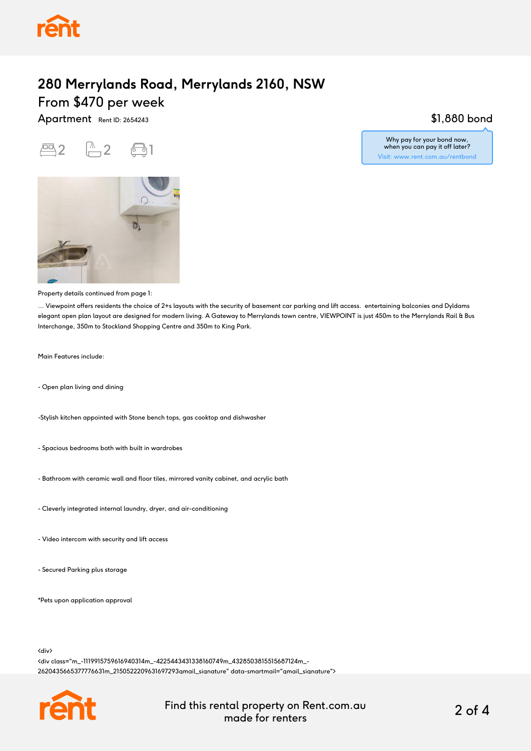

Apartment Rent ID: 2654243





Property details continued from page 1:

... Viewpoint offers residents the choice of 2+s layouts with the security of basement car parking and lift access. entertaining balconies and Dyldams elegant open plan layout are designed for modern living. A Gateway to Merrylands town centre, VIEWPOINT is just 450m to the Merrylands Rail & Bus Interchange, 350m to Stockland Shopping Centre and 350m to King Park.

Main Features include:

- Open plan living and dining

-Stylish kitchen appointed with Stone bench tops, gas cooktop and dishwasher

- Spacious bedrooms both with built in wardrobes
- Bathroom with ceramic wall and floor tiles, mirrored vanity cabinet, and acrylic bath
- Cleverly integrated internal laundry, dryer, and air-conditioning
- Video intercom with security and lift access
- Secured Parking plus storage

\*Pets upon application approval

<div>

<div class="m\_-1119915759616940314m\_-4225443431338160749m\_4328503815515687124m\_- 2620435665377776631m\_2150522209631697293gmail\_signature" data-smartmail="gmail\_signature">



Find this rental property on Rent.com.au made for renters 2 of 4

### \$1,880 bond

Why pay for your bond now, when you can pay it off later? Visit: www.rent.com.au/rentbond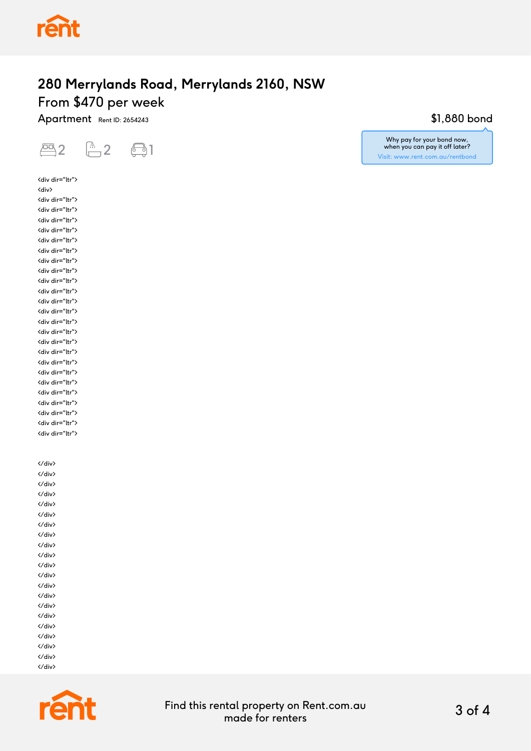

Apartment Rent ID: 2654243



<div> <div dir="ltr"> <div dir="ltr"> <div dir="ltr"> <div dir="ltr"> <div dir="ltr"> <div dir="ltr"> <div dir="ltr"> <div dir="ltr"> <div dir="ltr"> <div dir="ltr"> <div dir="ltr"> <div dir="ltr"> <div dir="ltr"> <div dir="ltr"> <div dir="ltr"> <div dir="ltr"> <div dir="ltr"> <div dir="ltr"> <div dir="ltr"> <div dir="ltr"> <div dir="ltr"> <div dir="ltr"> <div dir="ltr">

<div dir="ltr">

</div>

<div dir="ltr">

</div> </div> </div> </div> </div> </div> </div> </div> </div> </div> </div> </div> </div> </div> </div> </div> </div> </div> </div> </div>



## \$1,880 bond

Why pay for your bond now, when you can pay it off later? Visit: www.rent.com.au/rentbond